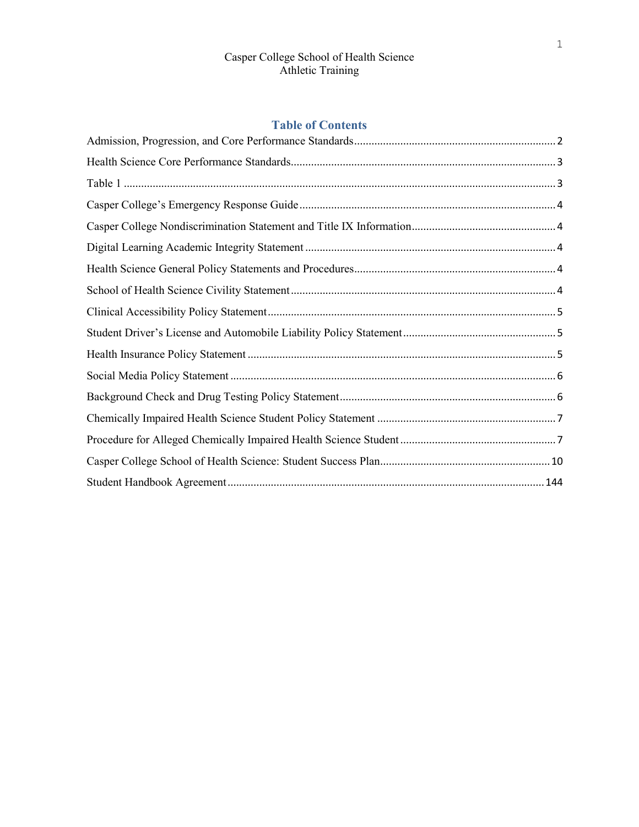# **Table of Contents**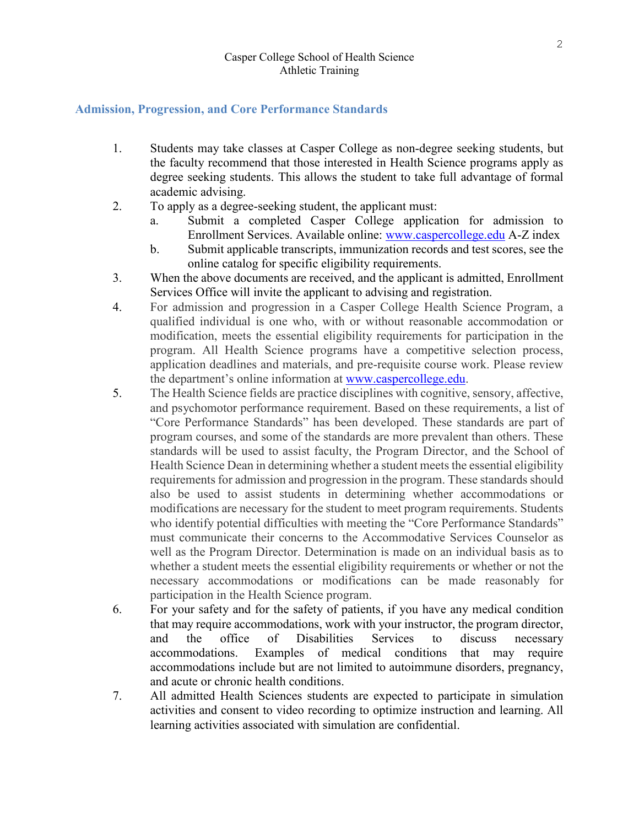### <span id="page-1-0"></span>**Admission, Progression, and Core Performance Standards**

- 1. Students may take classes at Casper College as non-degree seeking students, but the faculty recommend that those interested in Health Science programs apply as degree seeking students. This allows the student to take full advantage of formal academic advising.
- 2. To apply as a degree-seeking student, the applicant must:
	- a. Submit a completed Casper College application for admission to Enrollment Services. Available online: [www.caspercollege.edu](http://www.caspercollege.edu/) A-Z index
	- b. Submit applicable transcripts, immunization records and test scores, see the online catalog for specific eligibility requirements.
- 3. When the above documents are received, and the applicant is admitted, Enrollment Services Office will invite the applicant to advising and registration.
- 4. For admission and progression in a Casper College Health Science Program, a qualified individual is one who, with or without reasonable accommodation or modification, meets the essential eligibility requirements for participation in the program. All Health Science programs have a competitive selection process, application deadlines and materials, and pre-requisite course work. Please review the department's online information at [www.caspercollege.edu.](http://www.caspercollege.edu/)
- 5. The Health Science fields are practice disciplines with cognitive, sensory, affective, and psychomotor performance requirement. Based on these requirements, a list of "Core Performance Standards" has been developed. These standards are part of program courses, and some of the standards are more prevalent than others. These standards will be used to assist faculty, the Program Director, and the School of Health Science Dean in determining whether a student meets the essential eligibility requirements for admission and progression in the program. These standards should also be used to assist students in determining whether accommodations or modifications are necessary for the student to meet program requirements. Students who identify potential difficulties with meeting the "Core Performance Standards" must communicate their concerns to the Accommodative Services Counselor as well as the Program Director. Determination is made on an individual basis as to whether a student meets the essential eligibility requirements or whether or not the necessary accommodations or modifications can be made reasonably for participation in the Health Science program.
- 6. For your safety and for the safety of patients, if you have any medical condition that may require accommodations, work with your instructor, the program director, and the office of Disabilities Services to discuss necessary accommodations. Examples of medical conditions that may require accommodations include but are not limited to autoimmune disorders, pregnancy, and acute or chronic health conditions.
- 7. All admitted Health Sciences students are expected to participate in simulation activities and consent to video recording to optimize instruction and learning. All learning activities associated with simulation are confidential.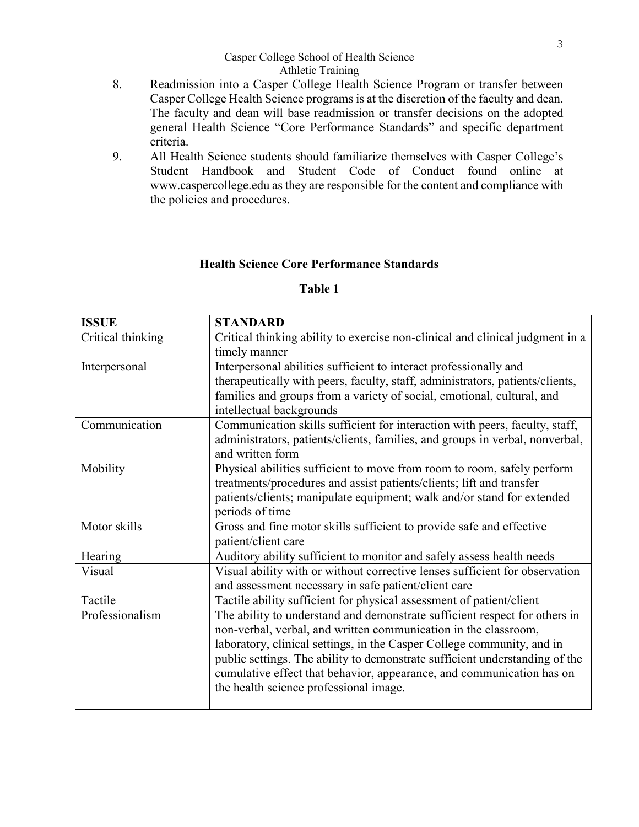- 8. Readmission into a Casper College Health Science Program or transfer between Casper College Health Science programs is at the discretion of the faculty and dean. The faculty and dean will base readmission or transfer decisions on the adopted general Health Science "Core Performance Standards" and specific department criteria.
- 9. All Health Science students should familiarize themselves with Casper College's Student Handbook and Student Code of Conduct found online at [www.caspercollege.edu](http://www.caspercollege.edu/) as they are responsible for the content and compliance with the policies and procedures.

## **Health Science Core Performance Standards**

## **Table 1**

<span id="page-2-1"></span><span id="page-2-0"></span>

| <b>ISSUE</b>                                                                          | <b>STANDARD</b>                                                               |  |
|---------------------------------------------------------------------------------------|-------------------------------------------------------------------------------|--|
| Critical thinking                                                                     | Critical thinking ability to exercise non-clinical and clinical judgment in a |  |
|                                                                                       | timely manner                                                                 |  |
| Interpersonal                                                                         | Interpersonal abilities sufficient to interact professionally and             |  |
|                                                                                       | therapeutically with peers, faculty, staff, administrators, patients/clients, |  |
|                                                                                       | families and groups from a variety of social, emotional, cultural, and        |  |
|                                                                                       | intellectual backgrounds                                                      |  |
| Communication                                                                         | Communication skills sufficient for interaction with peers, faculty, staff,   |  |
|                                                                                       | administrators, patients/clients, families, and groups in verbal, nonverbal,  |  |
|                                                                                       | and written form                                                              |  |
| Mobility                                                                              | Physical abilities sufficient to move from room to room, safely perform       |  |
|                                                                                       | treatments/procedures and assist patients/clients; lift and transfer          |  |
|                                                                                       | patients/clients; manipulate equipment; walk and/or stand for extended        |  |
|                                                                                       | periods of time                                                               |  |
| Motor skills                                                                          | Gross and fine motor skills sufficient to provide safe and effective          |  |
|                                                                                       | patient/client care                                                           |  |
| Hearing                                                                               | Auditory ability sufficient to monitor and safely assess health needs         |  |
| Visual ability with or without corrective lenses sufficient for observation<br>Visual |                                                                               |  |
|                                                                                       | and assessment necessary in safe patient/client care                          |  |
| Tactile                                                                               | Tactile ability sufficient for physical assessment of patient/client          |  |
| Professionalism                                                                       | The ability to understand and demonstrate sufficient respect for others in    |  |
|                                                                                       | non-verbal, verbal, and written communication in the classroom,               |  |
|                                                                                       | laboratory, clinical settings, in the Casper College community, and in        |  |
|                                                                                       | public settings. The ability to demonstrate sufficient understanding of the   |  |
|                                                                                       | cumulative effect that behavior, appearance, and communication has on         |  |
|                                                                                       | the health science professional image.                                        |  |
|                                                                                       |                                                                               |  |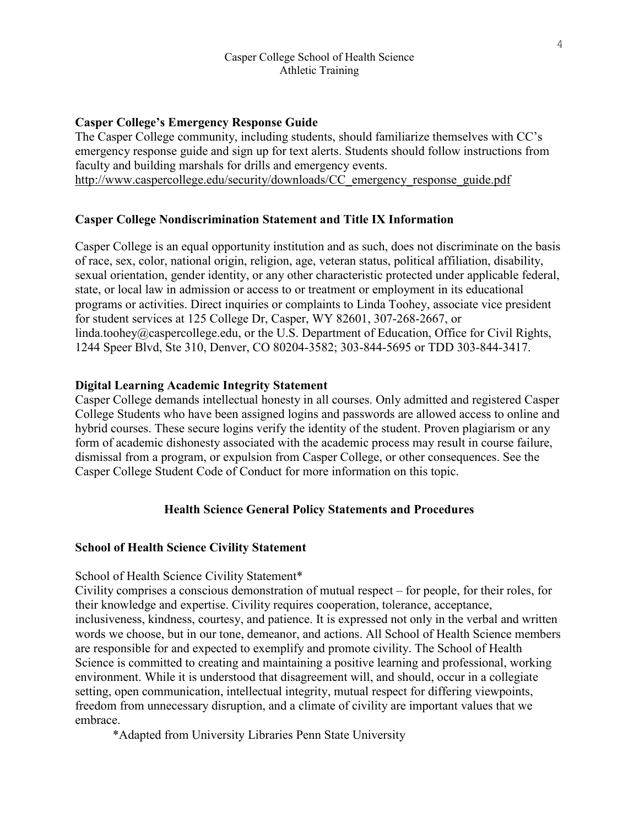## <span id="page-3-0"></span>**Casper College's Emergency Response Guide**

The Casper College community, including students, should familiarize themselves with CC's emergency response guide and sign up for text alerts. Students should follow instructions from faculty and building marshals for drills and emergency events. [http://www.caspercollege.edu/security/downloads/CC\\_emergency\\_response\\_guide.pdf](http://www.caspercollege.edu/security/downloads/CC_emergency_response_guide.pdf)

## <span id="page-3-1"></span>**Casper College Nondiscrimination Statement and Title IX Information**

Casper College is an equal opportunity institution and as such, does not discriminate on the basis of race, sex, color, national origin, religion, age, veteran status, political affiliation, disability, sexual orientation, gender identity, or any other characteristic protected under applicable federal, state, or local law in admission or access to or treatment or employment in its educational programs or activities. Direct inquiries or complaints to Linda Toohey, associate vice president for student services at 125 College Dr, Casper, WY 82601, 307-268-2667, or linda.toohey@caspercollege.edu, or the U.S. Department of Education, Office for Civil Rights, 1244 Speer Blvd, Ste 310, Denver, CO 80204-3582; 303-844-5695 or TDD 303-844-3417.

### <span id="page-3-2"></span>**Digital Learning Academic Integrity Statement**

Casper College demands intellectual honesty in all courses. Only admitted and registered Casper College Students who have been assigned logins and passwords are allowed access to online and hybrid courses. These secure logins verify the identity of the student. Proven plagiarism or any form of academic dishonesty associated with the academic process may result in course failure, dismissal from a program, or expulsion from Casper College, or other consequences. See the Casper College Student Code of Conduct for more information on this topic.

### **Health Science General Policy Statements and Procedures**

#### <span id="page-3-4"></span><span id="page-3-3"></span>**School of Health Science Civility Statement**

School of Health Science Civility Statement\*

Civility comprises a conscious demonstration of mutual respect – for people, for their roles, for their knowledge and expertise. Civility requires cooperation, tolerance, acceptance, inclusiveness, kindness, courtesy, and patience. It is expressed not only in the verbal and written words we choose, but in our tone, demeanor, and actions. All School of Health Science members are responsible for and expected to exemplify and promote civility. The School of Health Science is committed to creating and maintaining a positive learning and professional, working environment. While it is understood that disagreement will, and should, occur in a collegiate setting, open communication, intellectual integrity, mutual respect for differing viewpoints, freedom from unnecessary disruption, and a climate of civility are important values that we embrace.

\*Adapted from University Libraries Penn State University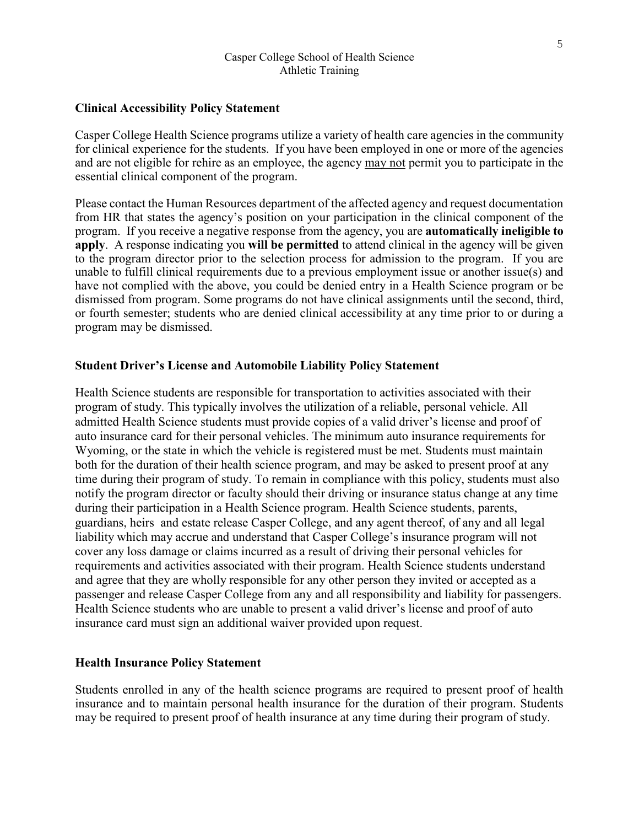### <span id="page-4-0"></span>**Clinical Accessibility Policy Statement**

Casper College Health Science programs utilize a variety of health care agencies in the community for clinical experience for the students. If you have been employed in one or more of the agencies and are not eligible for rehire as an employee, the agency may not permit you to participate in the essential clinical component of the program.

Please contact the Human Resources department of the affected agency and request documentation from HR that states the agency's position on your participation in the clinical component of the program. If you receive a negative response from the agency, you are **automatically ineligible to apply**. A response indicating you **will be permitted** to attend clinical in the agency will be given to the program director prior to the selection process for admission to the program. If you are unable to fulfill clinical requirements due to a previous employment issue or another issue(s) and have not complied with the above, you could be denied entry in a Health Science program or be dismissed from program. Some programs do not have clinical assignments until the second, third, or fourth semester; students who are denied clinical accessibility at any time prior to or during a program may be dismissed.

#### <span id="page-4-1"></span>**Student Driver's License and Automobile Liability Policy Statement**

Health Science students are responsible for transportation to activities associated with their program of study. This typically involves the utilization of a reliable, personal vehicle. All admitted Health Science students must provide copies of a valid driver's license and proof of auto insurance card for their personal vehicles. The minimum auto insurance requirements for Wyoming, or the state in which the vehicle is registered must be met. Students must maintain both for the duration of their health science program, and may be asked to present proof at any time during their program of study. To remain in compliance with this policy, students must also notify the program director or faculty should their driving or insurance status change at any time during their participation in a Health Science program. Health Science students, parents, guardians, heirs and estate release Casper College, and any agent thereof, of any and all legal liability which may accrue and understand that Casper College's insurance program will not cover any loss damage or claims incurred as a result of driving their personal vehicles for requirements and activities associated with their program. Health Science students understand and agree that they are wholly responsible for any other person they invited or accepted as a passenger and release Casper College from any and all responsibility and liability for passengers. Health Science students who are unable to present a valid driver's license and proof of auto insurance card must sign an additional waiver provided upon request.

### <span id="page-4-2"></span>**Health Insurance Policy Statement**

Students enrolled in any of the health science programs are required to present proof of health insurance and to maintain personal health insurance for the duration of their program. Students may be required to present proof of health insurance at any time during their program of study.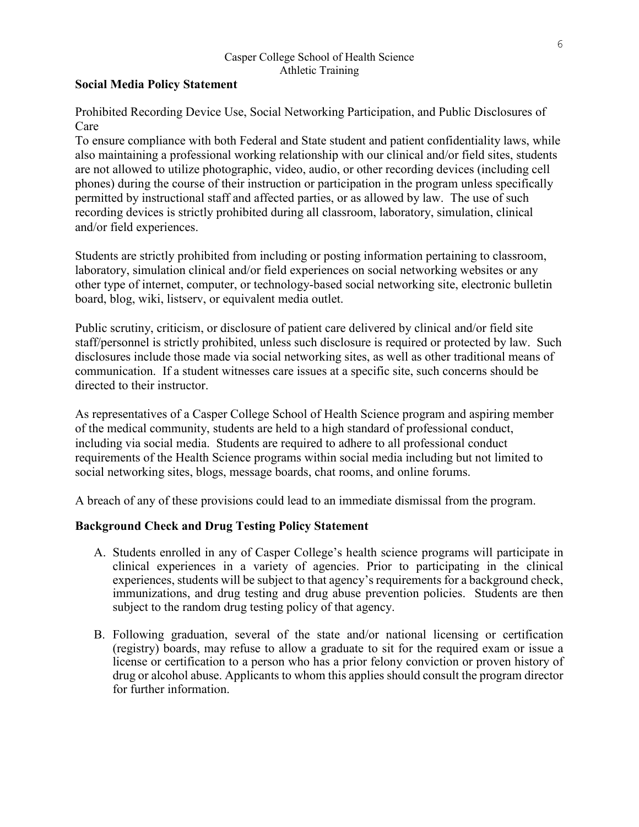## <span id="page-5-0"></span>**Social Media Policy Statement**

Prohibited Recording Device Use, Social Networking Participation, and Public Disclosures of Care

To ensure compliance with both Federal and State student and patient confidentiality laws, while also maintaining a professional working relationship with our clinical and/or field sites, students are not allowed to utilize photographic, video, audio, or other recording devices (including cell phones) during the course of their instruction or participation in the program unless specifically permitted by instructional staff and affected parties, or as allowed by law. The use of such recording devices is strictly prohibited during all classroom, laboratory, simulation, clinical and/or field experiences.

Students are strictly prohibited from including or posting information pertaining to classroom, laboratory, simulation clinical and/or field experiences on social networking websites or any other type of internet, computer, or technology-based social networking site, electronic bulletin board, blog, wiki, listserv, or equivalent media outlet.

Public scrutiny, criticism, or disclosure of patient care delivered by clinical and/or field site staff/personnel is strictly prohibited, unless such disclosure is required or protected by law. Such disclosures include those made via social networking sites, as well as other traditional means of communication. If a student witnesses care issues at a specific site, such concerns should be directed to their instructor.

As representatives of a Casper College School of Health Science program and aspiring member of the medical community, students are held to a high standard of professional conduct, including via social media. Students are required to adhere to all professional conduct requirements of the Health Science programs within social media including but not limited to social networking sites, blogs, message boards, chat rooms, and online forums.

A breach of any of these provisions could lead to an immediate dismissal from the program.

# <span id="page-5-1"></span>**Background Check and Drug Testing Policy Statement**

- A. Students enrolled in any of Casper College's health science programs will participate in clinical experiences in a variety of agencies. Prior to participating in the clinical experiences, students will be subject to that agency's requirements for a background check, immunizations, and drug testing and drug abuse prevention policies. Students are then subject to the random drug testing policy of that agency.
- B. Following graduation, several of the state and/or national licensing or certification (registry) boards, may refuse to allow a graduate to sit for the required exam or issue a license or certification to a person who has a prior felony conviction or proven history of drug or alcohol abuse. Applicants to whom this applies should consult the program director for further information.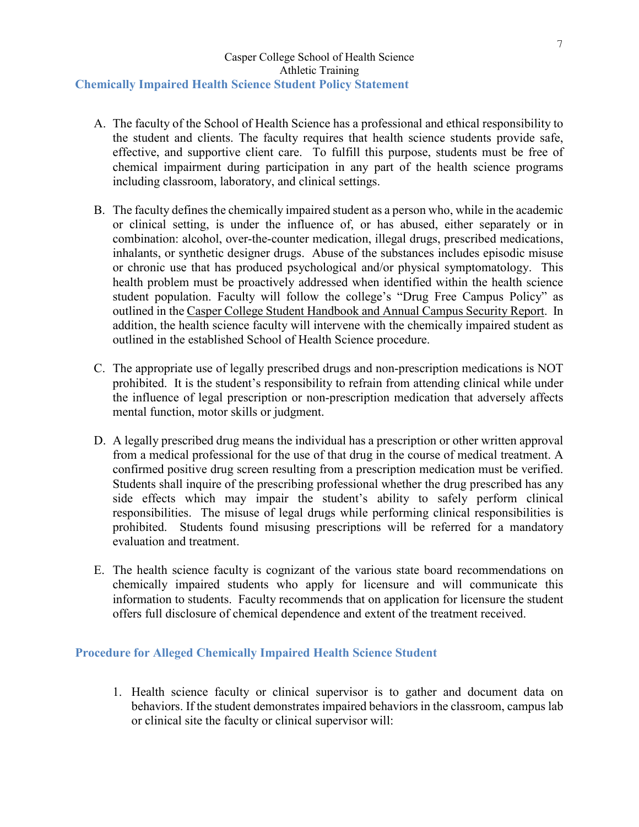## <span id="page-6-0"></span>Casper College School of Health Science Athletic Training **Chemically Impaired Health Science Student Policy Statement**

- A. The faculty of the School of Health Science has a professional and ethical responsibility to the student and clients. The faculty requires that health science students provide safe, effective, and supportive client care. To fulfill this purpose, students must be free of chemical impairment during participation in any part of the health science programs including classroom, laboratory, and clinical settings.
- B. The faculty defines the chemically impaired student as a person who, while in the academic or clinical setting, is under the influence of, or has abused, either separately or in combination: alcohol, over-the-counter medication, illegal drugs, prescribed medications, inhalants, or synthetic designer drugs. Abuse of the substances includes episodic misuse or chronic use that has produced psychological and/or physical symptomatology. This health problem must be proactively addressed when identified within the health science student population. Faculty will follow the college's "Drug Free Campus Policy" as outlined in the Casper College Student Handbook and Annual Campus Security Report. In addition, the health science faculty will intervene with the chemically impaired student as outlined in the established School of Health Science procedure.
- C. The appropriate use of legally prescribed drugs and non-prescription medications is NOT prohibited. It is the student's responsibility to refrain from attending clinical while under the influence of legal prescription or non-prescription medication that adversely affects mental function, motor skills or judgment.
- D. A legally prescribed drug means the individual has a prescription or other written approval from a medical professional for the use of that drug in the course of medical treatment. A confirmed positive drug screen resulting from a prescription medication must be verified. Students shall inquire of the prescribing professional whether the drug prescribed has any side effects which may impair the student's ability to safely perform clinical responsibilities. The misuse of legal drugs while performing clinical responsibilities is prohibited. Students found misusing prescriptions will be referred for a mandatory evaluation and treatment.
- E. The health science faculty is cognizant of the various state board recommendations on chemically impaired students who apply for licensure and will communicate this information to students. Faculty recommends that on application for licensure the student offers full disclosure of chemical dependence and extent of the treatment received.

## <span id="page-6-1"></span>**Procedure for Alleged Chemically Impaired Health Science Student**

1. Health science faculty or clinical supervisor is to gather and document data on behaviors. If the student demonstrates impaired behaviors in the classroom, campus lab or clinical site the faculty or clinical supervisor will: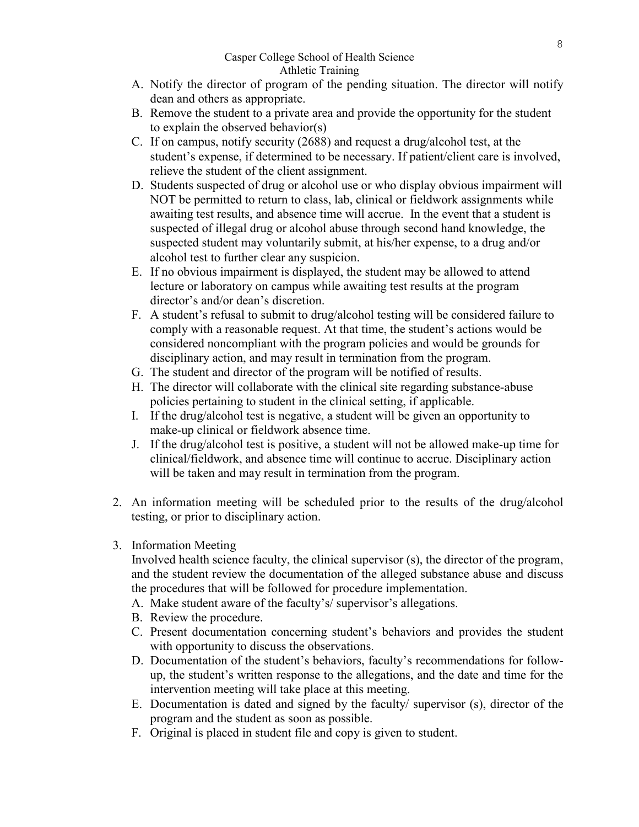- A. Notify the director of program of the pending situation. The director will notify dean and others as appropriate.
- B. Remove the student to a private area and provide the opportunity for the student to explain the observed behavior(s)
- C. If on campus, notify security (2688) and request a drug/alcohol test, at the student's expense, if determined to be necessary. If patient/client care is involved, relieve the student of the client assignment.
- D. Students suspected of drug or alcohol use or who display obvious impairment will NOT be permitted to return to class, lab, clinical or fieldwork assignments while awaiting test results, and absence time will accrue. In the event that a student is suspected of illegal drug or alcohol abuse through second hand knowledge, the suspected student may voluntarily submit, at his/her expense, to a drug and/or alcohol test to further clear any suspicion.
- E. If no obvious impairment is displayed, the student may be allowed to attend lecture or laboratory on campus while awaiting test results at the program director's and/or dean's discretion.
- F. A student's refusal to submit to drug/alcohol testing will be considered failure to comply with a reasonable request. At that time, the student's actions would be considered noncompliant with the program policies and would be grounds for disciplinary action, and may result in termination from the program.
- G. The student and director of the program will be notified of results.
- H. The director will collaborate with the clinical site regarding substance-abuse policies pertaining to student in the clinical setting, if applicable.
- I. If the drug/alcohol test is negative, a student will be given an opportunity to make-up clinical or fieldwork absence time.
- J. If the drug/alcohol test is positive, a student will not be allowed make-up time for clinical/fieldwork, and absence time will continue to accrue. Disciplinary action will be taken and may result in termination from the program.
- 2. An information meeting will be scheduled prior to the results of the drug/alcohol testing, or prior to disciplinary action.
- 3. Information Meeting

Involved health science faculty, the clinical supervisor (s), the director of the program, and the student review the documentation of the alleged substance abuse and discuss the procedures that will be followed for procedure implementation.

- A. Make student aware of the faculty's/ supervisor's allegations.
- B. Review the procedure.
- C. Present documentation concerning student's behaviors and provides the student with opportunity to discuss the observations.
- D. Documentation of the student's behaviors, faculty's recommendations for followup, the student's written response to the allegations, and the date and time for the intervention meeting will take place at this meeting.
- E. Documentation is dated and signed by the faculty/ supervisor (s), director of the program and the student as soon as possible.
- F. Original is placed in student file and copy is given to student.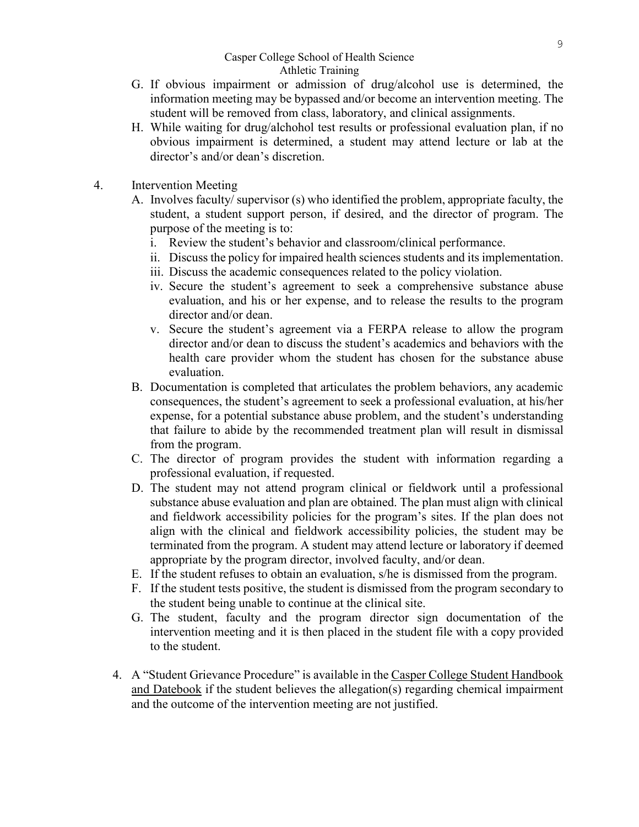- G. If obvious impairment or admission of drug/alcohol use is determined, the information meeting may be bypassed and/or become an intervention meeting. The student will be removed from class, laboratory, and clinical assignments.
- H. While waiting for drug/alchohol test results or professional evaluation plan, if no obvious impairment is determined, a student may attend lecture or lab at the director's and/or dean's discretion.
- 4. Intervention Meeting
	- A. Involves faculty/ supervisor (s) who identified the problem, appropriate faculty, the student, a student support person, if desired, and the director of program. The purpose of the meeting is to:
		- i. Review the student's behavior and classroom/clinical performance.
		- ii. Discuss the policy for impaired health sciences students and its implementation.
		- iii. Discuss the academic consequences related to the policy violation.
		- iv. Secure the student's agreement to seek a comprehensive substance abuse evaluation, and his or her expense, and to release the results to the program director and/or dean.
		- v. Secure the student's agreement via a FERPA release to allow the program director and/or dean to discuss the student's academics and behaviors with the health care provider whom the student has chosen for the substance abuse evaluation.
	- B. Documentation is completed that articulates the problem behaviors, any academic consequences, the student's agreement to seek a professional evaluation, at his/her expense, for a potential substance abuse problem, and the student's understanding that failure to abide by the recommended treatment plan will result in dismissal from the program.
	- C. The director of program provides the student with information regarding a professional evaluation, if requested.
	- D. The student may not attend program clinical or fieldwork until a professional substance abuse evaluation and plan are obtained. The plan must align with clinical and fieldwork accessibility policies for the program's sites. If the plan does not align with the clinical and fieldwork accessibility policies, the student may be terminated from the program. A student may attend lecture or laboratory if deemed appropriate by the program director, involved faculty, and/or dean.
	- E. If the student refuses to obtain an evaluation, s/he is dismissed from the program.
	- F. If the student tests positive, the student is dismissed from the program secondary to the student being unable to continue at the clinical site.
	- G. The student, faculty and the program director sign documentation of the intervention meeting and it is then placed in the student file with a copy provided to the student.
	- 4. A "Student Grievance Procedure" is available in the Casper College Student Handbook and Datebook if the student believes the allegation(s) regarding chemical impairment and the outcome of the intervention meeting are not justified.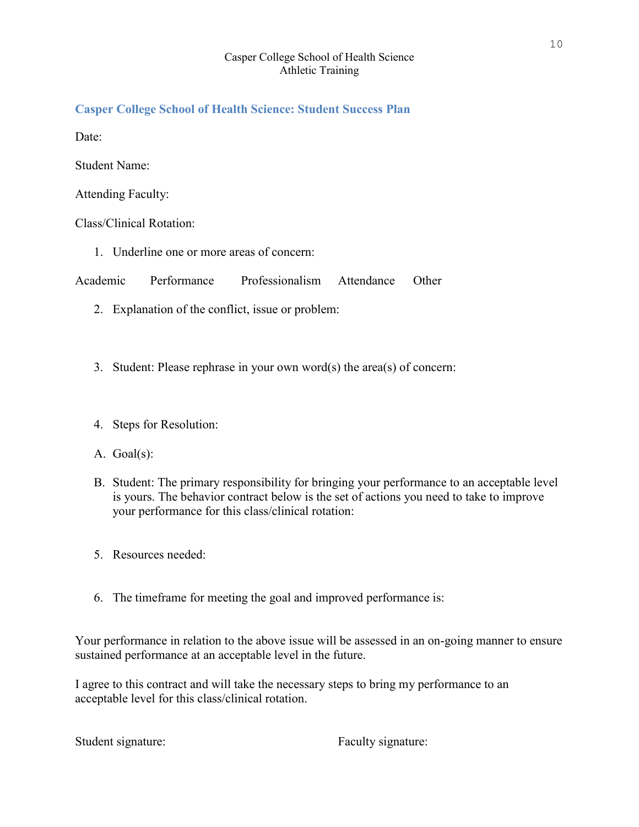# <span id="page-9-0"></span>**Casper College School of Health Science: Student Success Plan**

Date:

Student Name:

Attending Faculty:

Class/Clinical Rotation:

1. Underline one or more areas of concern:

Academic Performance Professionalism Attendance Other

- 2. Explanation of the conflict, issue or problem:
- 3. Student: Please rephrase in your own word(s) the area(s) of concern:
- 4. Steps for Resolution:
- A. Goal(s):
- B. Student: The primary responsibility for bringing your performance to an acceptable level is yours. The behavior contract below is the set of actions you need to take to improve your performance for this class/clinical rotation:
- 5. Resources needed:
- 6. The timeframe for meeting the goal and improved performance is:

Your performance in relation to the above issue will be assessed in an on-going manner to ensure sustained performance at an acceptable level in the future.

I agree to this contract and will take the necessary steps to bring my performance to an acceptable level for this class/clinical rotation.

Student signature: Faculty signature: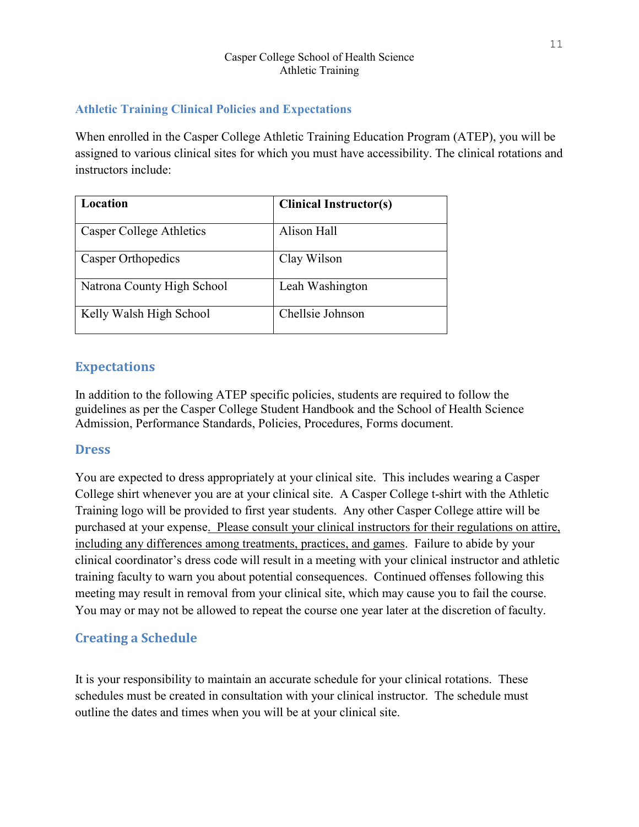# **Athletic Training Clinical Policies and Expectations**

When enrolled in the Casper College Athletic Training Education Program (ATEP), you will be assigned to various clinical sites for which you must have accessibility. The clinical rotations and instructors include:

| Location                   | <b>Clinical Instructor(s)</b> |
|----------------------------|-------------------------------|
| Casper College Athletics   | Alison Hall                   |
| Casper Orthopedics         | Clay Wilson                   |
| Natrona County High School | Leah Washington               |
| Kelly Walsh High School    | Chellsie Johnson              |

# **Expectations**

In addition to the following ATEP specific policies, students are required to follow the guidelines as per the Casper College Student Handbook and the School of Health Science Admission, Performance Standards, Policies, Procedures, Forms document.

# **Dress**

You are expected to dress appropriately at your clinical site. This includes wearing a Casper College shirt whenever you are at your clinical site. A Casper College t-shirt with the Athletic Training logo will be provided to first year students. Any other Casper College attire will be purchased at your expense. Please consult your clinical instructors for their regulations on attire, including any differences among treatments, practices, and games. Failure to abide by your clinical coordinator's dress code will result in a meeting with your clinical instructor and athletic training faculty to warn you about potential consequences. Continued offenses following this meeting may result in removal from your clinical site, which may cause you to fail the course. You may or may not be allowed to repeat the course one year later at the discretion of faculty.

# **Creating a Schedule**

It is your responsibility to maintain an accurate schedule for your clinical rotations. These schedules must be created in consultation with your clinical instructor. The schedule must outline the dates and times when you will be at your clinical site.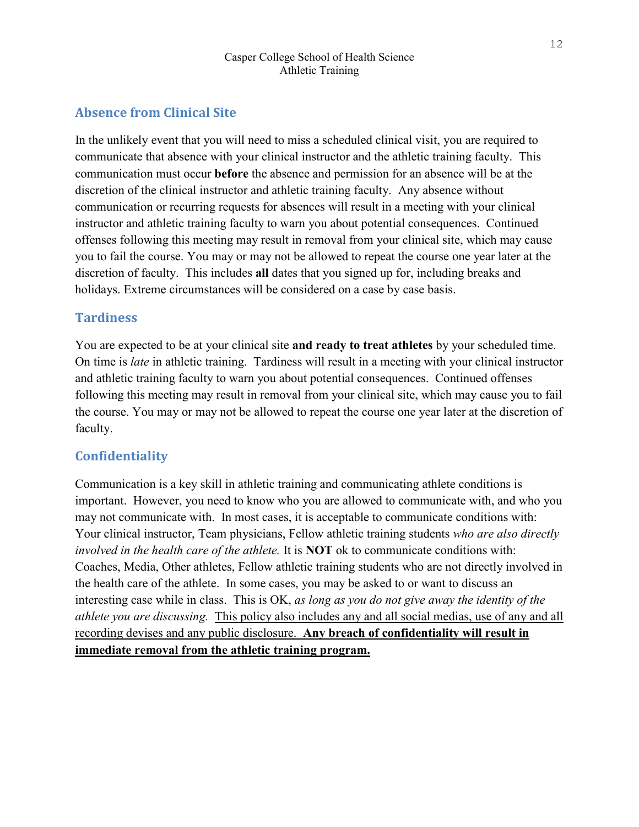# **Absence from Clinical Site**

In the unlikely event that you will need to miss a scheduled clinical visit, you are required to communicate that absence with your clinical instructor and the athletic training faculty. This communication must occur **before** the absence and permission for an absence will be at the discretion of the clinical instructor and athletic training faculty. Any absence without communication or recurring requests for absences will result in a meeting with your clinical instructor and athletic training faculty to warn you about potential consequences. Continued offenses following this meeting may result in removal from your clinical site, which may cause you to fail the course. You may or may not be allowed to repeat the course one year later at the discretion of faculty. This includes **all** dates that you signed up for, including breaks and holidays. Extreme circumstances will be considered on a case by case basis.

# **Tardiness**

You are expected to be at your clinical site **and ready to treat athletes** by your scheduled time. On time is *late* in athletic training. Tardiness will result in a meeting with your clinical instructor and athletic training faculty to warn you about potential consequences. Continued offenses following this meeting may result in removal from your clinical site, which may cause you to fail the course. You may or may not be allowed to repeat the course one year later at the discretion of faculty.

# **Confidentiality**

Communication is a key skill in athletic training and communicating athlete conditions is important. However, you need to know who you are allowed to communicate with, and who you may not communicate with. In most cases, it is acceptable to communicate conditions with: Your clinical instructor, Team physicians, Fellow athletic training students *who are also directly involved in the health care of the athlete.* It is **NOT** ok to communicate conditions with: Coaches, Media, Other athletes, Fellow athletic training students who are not directly involved in the health care of the athlete. In some cases, you may be asked to or want to discuss an interesting case while in class. This is OK, *as long as you do not give away the identity of the athlete you are discussing.* This policy also includes any and all social medias, use of any and all recording devises and any public disclosure. **Any breach of confidentiality will result in immediate removal from the athletic training program.**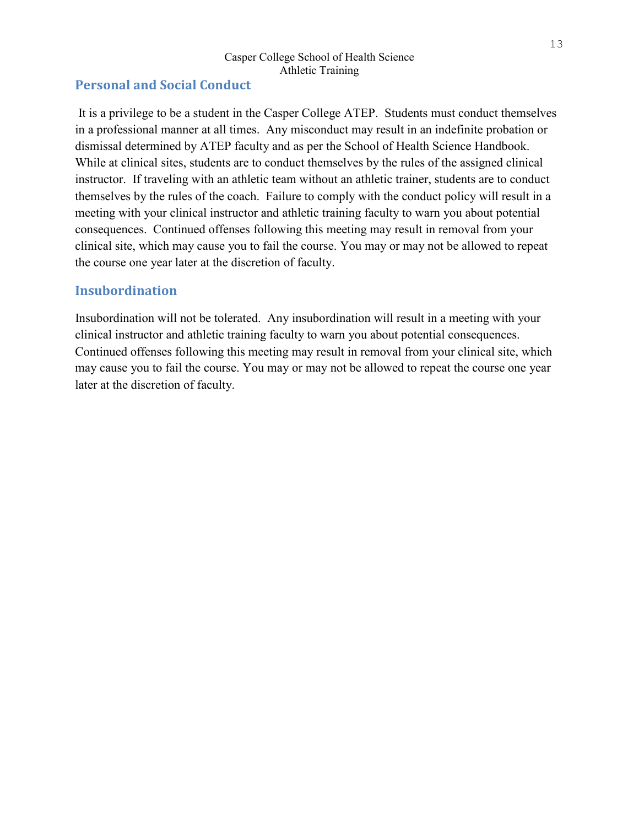# **Personal and Social Conduct**

It is a privilege to be a student in the Casper College ATEP. Students must conduct themselves in a professional manner at all times. Any misconduct may result in an indefinite probation or dismissal determined by ATEP faculty and as per the School of Health Science Handbook. While at clinical sites, students are to conduct themselves by the rules of the assigned clinical instructor. If traveling with an athletic team without an athletic trainer, students are to conduct themselves by the rules of the coach. Failure to comply with the conduct policy will result in a meeting with your clinical instructor and athletic training faculty to warn you about potential consequences. Continued offenses following this meeting may result in removal from your clinical site, which may cause you to fail the course. You may or may not be allowed to repeat the course one year later at the discretion of faculty.

# **Insubordination**

Insubordination will not be tolerated. Any insubordination will result in a meeting with your clinical instructor and athletic training faculty to warn you about potential consequences. Continued offenses following this meeting may result in removal from your clinical site, which may cause you to fail the course. You may or may not be allowed to repeat the course one year later at the discretion of faculty.